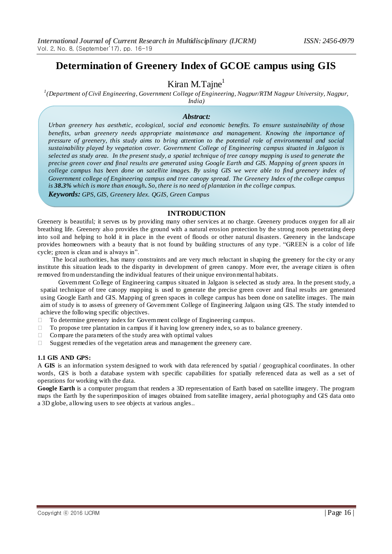# **Determination of Greenery Index of GCOE campus using GIS**

# Kiran M.Tajne $<sup>1</sup>$ </sup>

*1 (Department of Civil Engineering, Government College of Engineering, Nagpur/RTM Nagpur University, Nagpur,* 

*India)*

#### *Abstract:*

*Urban greenery has aesthetic, ecological, social and economic benefits. To ensure sustainability of those benefits, urban greenery needs appropriate maintenance and management. Knowing the importance of pressure of greenery, this study aims to bring attention to the potential role of environmental and social sustainability played by vegetation cover. Government College of Engineering campus situated in Jalgaon is selected as study area. In the present study, a spatial technique of tree canopy mapping is used to generate the precise green cover and final results are generated using Google Earth and GIS. Mapping of green spaces in college campus has been done on satellite images. By using GIS we were able to find greenery index of Government college of Engineering campus and tree canopy spread. The Greenery Index of the college campus is 38.3% which is more than enough. So, there is no need of plantation in the college campus.* 

*Keywords: GPS, GIS, Greenery Idex. QGIS, Green Campus*

# **INTRODUCTION**

[Greenery is beautiful](https://www.facebook.com/OakridgeInternationalSchools)*;* it serves us by providing many other services at no charge. Greenery produces oxygen for all air breathing life. Greenery also provides the ground with a natural erosion protection by the strong roots penetrating deep into soil and helping to hold it in place in the event of floods or other natural disasters. Greenery in the landscape provides homeowners with a beauty that is not found by building structures of any type . "GREEN is a color of life cycle; green is clean and is always in".

The local authorities, has many constraints and are very much reluctant in shaping the greenery for the city or any institute this situation leads to the disparity in development of green canopy. More ever, the average citizen is often removed from understanding the individual features of their unique environmental habitats.

Government College of Engineering campus situated in Jalgaon is selected as study area. In the present study, a spatial technique of tree canopy mapping is used to generate the precise green cover and final results are generated using Google Earth and GIS. Mapping of green spaces in college campus has been done on satellite images. The main aim of study is to assess of greenery of Government College of Engineering Jalgaon using GIS. The study intended to achieve the following specific objectives.

- □ To determine greenery index for Government college of Engineering campus.
- $\Box$  To propose tree plantation in campus if it having low greenery index, so as to balance greenery.
- $\Box$  Compare the parameters of the study area with optimal values
- $\Box$  Suggest remedies of the vegetation areas and management the greenery care.

#### **1.1 GIS AND GPS:**

A **GIS** is an information system designed to work with data referenced by spatial / geographical coordinates. In other words, GIS is both a database system with specific capabilities for spatially referenced data as well as a set of operations for working with the data.

**Google Earth** is a computer program that renders a 3D representation of Earth based on satellite imagery. The program maps the Earth by the superimposition of images obtained from satellite imagery, aerial photography and GIS data onto a 3D globe, allowing users to see objects at various angles..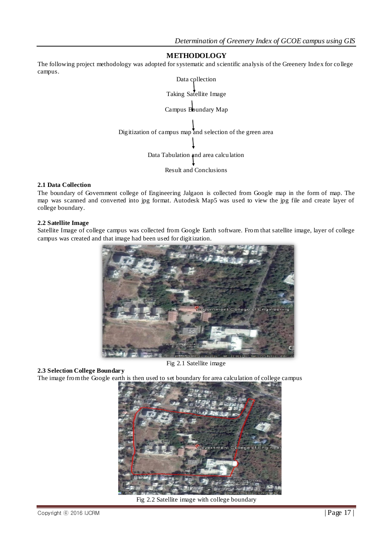# **METHODOLOGY**

The following project methodology was adopted for systematic and scientific analysis of the Greenery Index for college campus.



#### **2.1 Data Collection**

The boundary of Government college of Engineering Jalgaon is collected from Google map in the form of map. The map was scanned and converted into jpg format. Autodesk Map5 was used to view the jpg file and create layer of college boundary.

#### **2.2 Satellite Image**

Satellite Image of college campus was collected from Google Earth software. From that satellite image, layer of college campus was created and that image had been used for digitization.



Fig 2.1 Satellite image

#### **2.3 Selection College Boundary**

The image from the Google earth is then used to set boundary for area calculation of college campus



Fig 2.2 Satellite image with college boundary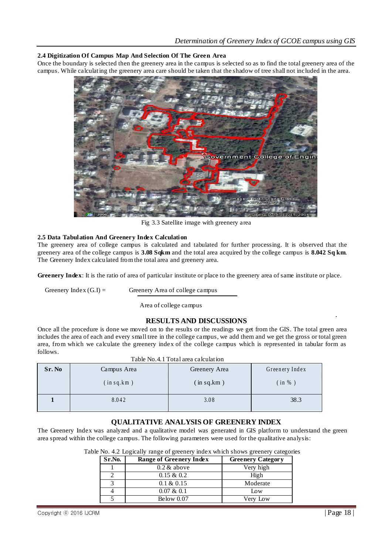# **2.4 Digitization Of Campus Map And Selection Of The Green Area**

Once the boundary is selected then the greenery area in the campus is selected so as to find the total greenery area of the campus. While calculating the greenery area care should be taken that the shadow of tree shall not included in the area.



Fig 3.3 Satellite image with greenery area

#### **2.5 Data Tabulation And Greenery Index Calculation**

The greenery area of college campus is calculated and tabulated for further processing. It is observed that the greenery area of the college campus is **3.08 Sqkm** and the total area acquired by the college campus is **8.042 Sq km**. The Greenery Index calculated from the total area and greenery area.

**Greenery Index**: It is the ratio of area of particular institute or place to the greenery area of same institute or place.

Greenery Index  $(G,I)$  = Greenery Area of college campus

Area of college campus

# **RESULTS AND DISCUSSIONS**

Once all the procedure is done we moved on to the results or the readings we get from the GIS. The total green area includes the area of each and every small tree in the college campus, we add them and we get the gross or total green area, from which we calculate the greenery index of the college campus which is represented in tabular form as follows.  $T = 11 \, \text{N}$   $41 \, \text{m}$   $41 \, \text{m}$ 

| Sr. No | Campus Area | Greenery Area | Greenery Index |
|--------|-------------|---------------|----------------|
|        | (in sq.km)  | (in sq.km)    | (in % )        |
|        | 8.042       | 3.08          | 38.3           |

# **QUALITATIVE ANALYSIS OF GREENERY INDEX**

The Greenery Index was analyzed and a qualitative model was generated in GIS platform to understand the green area spread within the college campus. The following parameters were used for the qualitative analysis:

| Sr.No. | Range of Greenery Index | <b>Greenery Category</b> |
|--------|-------------------------|--------------------------|
|        | $0.2 \&$ above          | Very high                |
|        | $0.15 \& 0.2$           | High                     |
|        | $0.1 \& 0.15$           | Moderate                 |
|        | $0.07 \& 0.1$           | Low                      |
|        | Below $0.07$            | Verv Low                 |